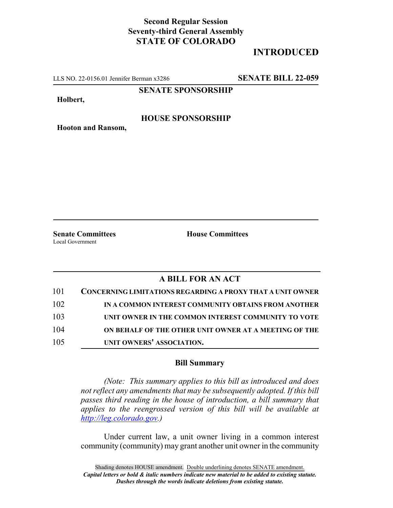## **Second Regular Session Seventy-third General Assembly STATE OF COLORADO**

# **INTRODUCED**

LLS NO. 22-0156.01 Jennifer Berman x3286 **SENATE BILL 22-059**

**SENATE SPONSORSHIP**

**Holbert,**

#### **HOUSE SPONSORSHIP**

**Hooton and Ransom,**

Local Government

**Senate Committees House Committees** 

### **A BILL FOR AN ACT**

| 101 | <b>CONCERNING LIMITATIONS REGARDING A PROXY THAT A UNIT OWNER</b> |
|-----|-------------------------------------------------------------------|
| 102 | IN A COMMON INTEREST COMMUNITY OBTAINS FROM ANOTHER               |
| 103 | UNIT OWNER IN THE COMMON INTEREST COMMUNITY TO VOTE               |
| 104 | ON BEHALF OF THE OTHER UNIT OWNER AT A MEETING OF THE             |
| 105 | UNIT OWNERS' ASSOCIATION.                                         |

#### **Bill Summary**

*(Note: This summary applies to this bill as introduced and does not reflect any amendments that may be subsequently adopted. If this bill passes third reading in the house of introduction, a bill summary that applies to the reengrossed version of this bill will be available at http://leg.colorado.gov.)*

Under current law, a unit owner living in a common interest community (community) may grant another unit owner in the community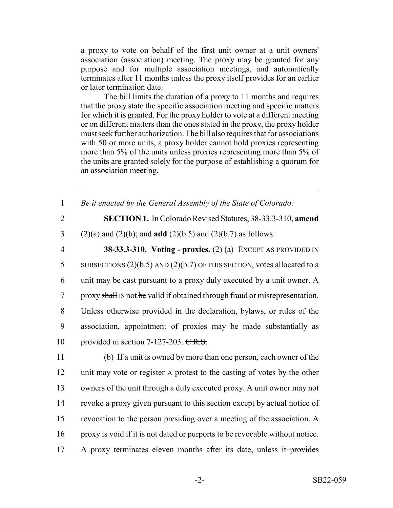a proxy to vote on behalf of the first unit owner at a unit owners' association (association) meeting. The proxy may be granted for any purpose and for multiple association meetings, and automatically terminates after 11 months unless the proxy itself provides for an earlier or later termination date.

The bill limits the duration of a proxy to 11 months and requires that the proxy state the specific association meeting and specific matters for which it is granted. For the proxy holder to vote at a different meeting or on different matters than the ones stated in the proxy, the proxy holder must seek further authorization. The bill also requires that for associations with 50 or more units, a proxy holder cannot hold proxies representing more than 5% of the units unless proxies representing more than 5% of the units are granted solely for the purpose of establishing a quorum for an association meeting.

| $\mathbf{1}$   | Be it enacted by the General Assembly of the State of Colorado:              |
|----------------|------------------------------------------------------------------------------|
| $\overline{2}$ | SECTION 1. In Colorado Revised Statutes, 38-33.3-310, amend                  |
| 3              | $(2)(a)$ and $(2)(b)$ ; and <b>add</b> $(2)(b.5)$ and $(2)(b.7)$ as follows: |
| $\overline{4}$ | 38-33.3-310. Voting - proxies. $(2)$ (a) EXCEPT AS PROVIDED IN               |
| 5              | SUBSECTIONS $(2)(b.5)$ AND $(2)(b.7)$ OF THIS SECTION, votes allocated to a  |
| 6              | unit may be cast pursuant to a proxy duly executed by a unit owner. A        |
| $\overline{7}$ | proxy shall Is not be valid if obtained through fraud or misrepresentation.  |
| 8              | Unless otherwise provided in the declaration, bylaws, or rules of the        |
| 9              | association, appointment of proxies may be made substantially as             |
| 10             | provided in section 7-127-203. C.R.S.                                        |
| 11             | (b) If a unit is owned by more than one person, each owner of the            |
| 12             | unit may vote or register A protest to the casting of votes by the other     |
| 13             | owners of the unit through a duly executed proxy. A unit owner may not       |
| 14             | revoke a proxy given pursuant to this section except by actual notice of     |
| 15             | revocation to the person presiding over a meeting of the association. A      |
| 16             | proxy is void if it is not dated or purports to be revocable without notice. |
| 17             | A proxy terminates eleven months after its date, unless it provides          |